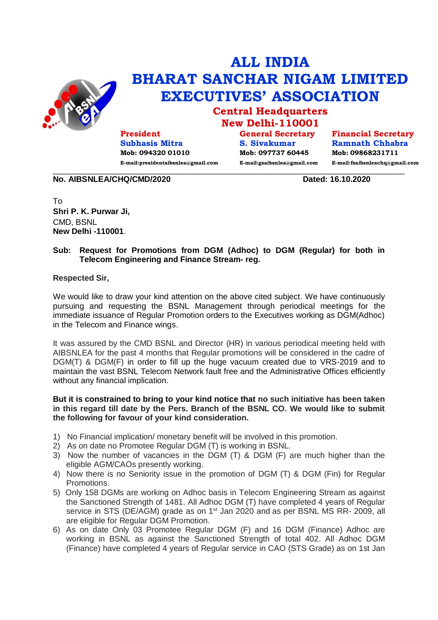

## **ALL INDIA BHARAT SANCHAR NIGAM LIMITED EXECUTIVES' ASSOCIATION**

**Central Headquarters New Delhi-110001**

**President Subhasis Mitra Mob: 094320 01010 E-mail:presidentaibsnlea@gmail.com**

**General Secretary S. Sivakumar Mob: 097737 60445 E-mail:gsaibsnlea@gmail.com**

**Financial Secretary Ramnath Chhabra Mob: 09868231711 E-mail:fsaibsnleachq@gmail.com**

**No. AIBSNLEA/CHQ/CMD/2020 Dated: 16.10.2020**

To **Shri P. K. Purwar Ji,**  CMD, BSNL **New Delhi -110001**.

## **Sub: Request for Promotions from DGM (Adhoc) to DGM (Regular) for both in Telecom Engineering and Finance Stream- reg.**

 $\_$  ,  $\_$  ,  $\_$  ,  $\_$  ,  $\_$  ,  $\_$  ,  $\_$  ,  $\_$  ,  $\_$  ,  $\_$  ,  $\_$  ,  $\_$  ,  $\_$  ,  $\_$  ,  $\_$  ,  $\_$  ,  $\_$  ,  $\_$  ,  $\_$  ,  $\_$  ,  $\_$  ,  $\_$  ,  $\_$  ,  $\_$  ,  $\_$  ,  $\_$  ,  $\_$  ,  $\_$  ,  $\_$  ,  $\_$  ,  $\_$  ,  $\_$  ,  $\_$  ,  $\_$  ,  $\_$  ,  $\_$  ,  $\_$  ,

**Respected Sir,**

We would like to draw your kind attention on the above cited subject. We have continuously pursuing and requesting the BSNL Management through periodical meetings for the immediate issuance of Regular Promotion orders to the Executives working as DGM(Adhoc) in the Telecom and Finance wings.

It was assured by the CMD BSNL and Director (HR) in various periodical meeting held with AIBSNLEA for the past 4 months that Regular promotions will be considered in the cadre of DGM(T) & DGM(F) in order to fill up the huge vacuum created due to VRS-2019 and to maintain the vast BSNL Telecom Network fault free and the Administrative Offices efficiently without any financial implication.

## **But it is constrained to bring to your kind notice that no such initiative has been taken in this regard till date by the Pers. Branch of the BSNL CO. We would like to submit the following for favour of your kind consideration.**

- 1) No Financial implication/ monetary benefit will be involved in this promotion.
- 2) As on date no Promotee Regular DGM (T) is working in BSNL.
- 3) Now the number of vacancies in the DGM (T) & DGM (F) are much higher than the eligible AGM/CAOs presently working.
- 4) Now there is no Seniority issue in the promotion of DGM (T) & DGM (Fin) for Regular Promotions.
- 5) Only 158 DGMs are working on Adhoc basis in Telecom Engineering Stream as against the Sanctioned Strength of 1481. All Adhoc DGM (T) have completed 4 years of Regular service in STS (DE/AGM) grade as on 1<sup>st</sup> Jan 2020 and as per BSNL MS RR- 2009, all are eligible for Regular DGM Promotion.
- 6) As on date Only 03 Promotee Regular DGM (F) and 16 DGM (Finance) Adhoc are working in BSNL as against the Sanctioned Strength of total 402. All Adhoc DGM (Finance) have completed 4 years of Regular service in CAO (STS Grade) as on 1st Jan